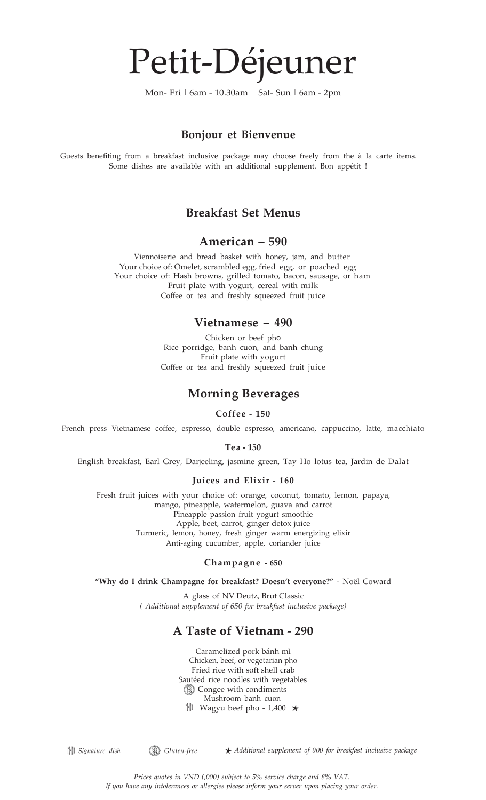# Petit-Déjeuner

Mon- Fri | 6am - 10.30am Sat- Sun | 6am - 2pm

## **Bonjour et Bienvenue**

Guests benefiting from a breakfast inclusive package may choose freely from the à la carte items. Some dishes are available with an additional supplement. Bon appétit !

# **Breakfast Set Menus**

## **American – 590**

Viennoiserie and bread basket with honey, jam, and butter Your choice of: Omelet, scrambled egg, fried egg, or poached egg Your choice of: Hash browns, grilled tomato, bacon, sausage, or ham Fruit plate with yogurt, cereal with milk Coffee or tea and freshly squeezed fruit juice

### **Vietnamese – 490**

Chicken or beef pho Rice porridge, banh cuon, and banh chung Fruit plate with yogurt Coffee or tea and freshly squeezed fruit juice

# **Morning Beverages**

#### **Coffee - 150**

French press Vietnamese coffee, espresso, double espresso, americano, cappuccino, latte, macchiato

#### **Te a - 150**

English breakfast, Earl Grey, Darjeeling, jasmine green, Tay Ho lotus tea, Jardin de Dalat

#### **Juices and Elixir - 160**

Fresh fruit juices with your choice of: orange, coconut, tomato, lemon, papaya, mango, pineapple, watermelon, guava and carrot Pineapple passion fruit yogurt smoothie Apple, beet, carrot, ginger detox juice Turmeric, lemon, honey, fresh ginger warm energizing elixir Anti-aging cucumber, apple, coriander juice

#### **Champagne - 650**

**"Why do I drink Champagne for breakfast? Doesn't everyone?"** - Noël Coward

A glass of NV Deutz, Brut Classic *( Additional supplement of 650 for breakfast inclusive package)*

# **A Taste of Vietnam - 290**

Caramelized pork bánh mì Chicken, beef, or vegetarian pho Fried rice with soft shell crab Sautéed rice noodles with vegetables **(** $\qquad$  Congee with condiments Mushroom banh cuon  $\mathbb{N}$  Wagyu beef pho - 1,400  $\star$ 

*Signature dish Gluten-free Additional supplement of 900 for breakfast inclusive package*

*Prices quotes in VND (,000) subject to 5% service charge and 8% VAT. If you have any intolerances or allergies please inform your server upon placing your order.*